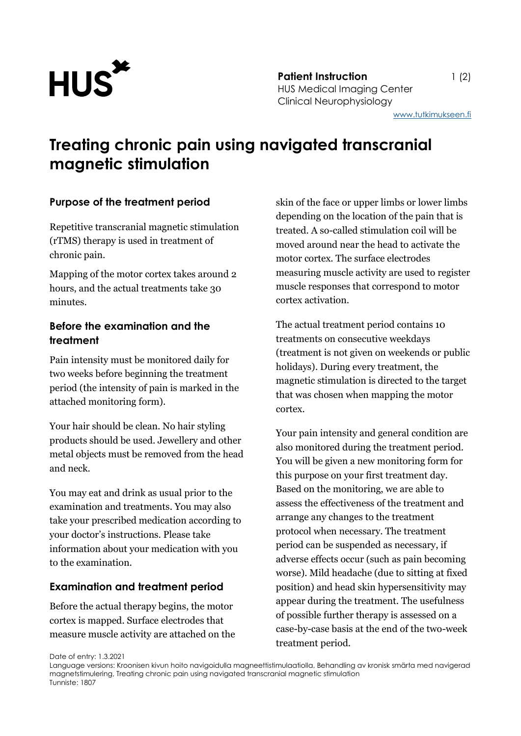

**Patient Instruction** 1 (2) HUS Medical Imaging Center Clinical Neurophysiology

# **Treating chronic pain using navigated transcranial magnetic stimulation**

#### **Purpose of the treatment period**

Repetitive transcranial magnetic stimulation (rTMS) therapy is used in treatment of chronic pain.

Mapping of the motor cortex takes around 2 hours, and the actual treatments take 30 minutes.

## **Before the examination and the treatment**

Pain intensity must be monitored daily for two weeks before beginning the treatment period (the intensity of pain is marked in the attached monitoring form).

Your hair should be clean. No hair styling products should be used. Jewellery and other metal objects must be removed from the head and neck.

You may eat and drink as usual prior to the examination and treatments. You may also take your prescribed medication according to your doctor's instructions. Please take information about your medication with you to the examination.

#### **Examination and treatment period**

Before the actual therapy begins, the motor cortex is mapped. Surface electrodes that measure muscle activity are attached on the skin of the face or upper limbs or lower limbs depending on the location of the pain that is treated. A so-called stimulation coil will be moved around near the head to activate the motor cortex. The surface electrodes measuring muscle activity are used to register muscle responses that correspond to motor cortex activation.

The actual treatment period contains 10 treatments on consecutive weekdays (treatment is not given on weekends or public holidays). During every treatment, the magnetic stimulation is directed to the target that was chosen when mapping the motor cortex.

Your pain intensity and general condition are also monitored during the treatment period. You will be given a new monitoring form for this purpose on your first treatment day. Based on the monitoring, we are able to assess the effectiveness of the treatment and arrange any changes to the treatment protocol when necessary. The treatment period can be suspended as necessary, if adverse effects occur (such as pain becoming worse). Mild headache (due to sitting at fixed position) and head skin hypersensitivity may appear during the treatment. The usefulness of possible further therapy is assessed on a case-by-case basis at the end of the two-week treatment period.

Date of entry: 1.3.2021

Language versions: Kroonisen kivun hoito navigoidulla magneettistimulaatiolla, Behandling av kronisk smärta med navigerad magnetstimulering, Treating chronic pain using navigated transcranial magnetic stimulation Tunniste: 1807